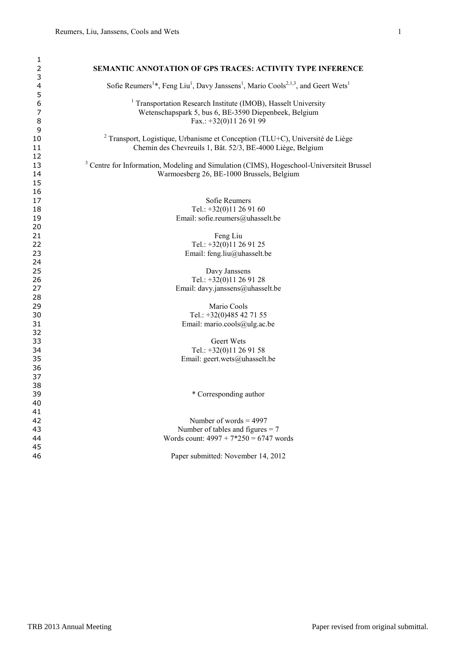| 1                   |                                                                                                                                               |
|---------------------|-----------------------------------------------------------------------------------------------------------------------------------------------|
| 2                   | <b>SEMANTIC ANNOTATION OF GPS TRACES: ACTIVITY TYPE INFERENCE</b>                                                                             |
| 3                   |                                                                                                                                               |
| $\overline{4}$<br>5 | Sofie Reumers <sup>1*</sup> , Feng Liu <sup>1</sup> , Davy Janssens <sup>1</sup> , Mario Cools <sup>2,1,3</sup> , and Geert Wets <sup>1</sup> |
| 6                   | <sup>1</sup> Transportation Research Institute (IMOB), Hasselt University                                                                     |
| 7                   | Wetenschapspark 5, bus 6, BE-3590 Diepenbeek, Belgium                                                                                         |
| 8                   | Fax.: +32(0)11 26 91 99                                                                                                                       |
| 9                   |                                                                                                                                               |
| 10                  | <sup>2</sup> Transport, Logistique, Urbanisme et Conception (TLU+C), Université de Liège                                                      |
| 11                  | Chemin des Chevreuils 1, Bât. 52/3, BE-4000 Liège, Belgium                                                                                    |
| 12                  |                                                                                                                                               |
| 13                  | <sup>3</sup> Centre for Information, Modeling and Simulation (CIMS), Hogeschool-Universiteit Brussel                                          |
| 14                  | Warmoesberg 26, BE-1000 Brussels, Belgium                                                                                                     |
| 15                  |                                                                                                                                               |
| 16                  |                                                                                                                                               |
| 17                  | Sofie Reumers                                                                                                                                 |
| 18                  | Tel.: +32(0)11 26 91 60                                                                                                                       |
| 19                  | Email: sofie.reumers@uhasselt.be                                                                                                              |
| 20                  |                                                                                                                                               |
| 21                  | Feng Liu                                                                                                                                      |
| 22                  | Tel.: +32(0)11 26 91 25                                                                                                                       |
| 23                  | Email: feng.liu@uhasselt.be                                                                                                                   |
| 24                  |                                                                                                                                               |
| 25                  | Davy Janssens                                                                                                                                 |
| 26                  | Tel.: +32(0)11 26 91 28                                                                                                                       |
| 27                  | Email: davy.janssens@uhasselt.be                                                                                                              |
| 28                  |                                                                                                                                               |
| 29                  | Mario Cools                                                                                                                                   |
| 30                  | Tel.: +32(0)485 42 71 55                                                                                                                      |
| 31                  | Email: mario.cools@ulg.ac.be                                                                                                                  |
| 32                  |                                                                                                                                               |
| 33                  | Geert Wets                                                                                                                                    |
| 34                  | Tel.: $+32(0)11269158$                                                                                                                        |
| 35                  | Email: geert.wets@uhasselt.be                                                                                                                 |
| 36                  |                                                                                                                                               |
| 37                  |                                                                                                                                               |
| 38                  |                                                                                                                                               |
| 39                  | * Corresponding author                                                                                                                        |
| 40                  |                                                                                                                                               |
| 41                  |                                                                                                                                               |
| 42                  | Number of words $= 4997$                                                                                                                      |
| 43                  | Number of tables and figures $= 7$                                                                                                            |
| 44                  | Words count: $4997 + 7*250 = 6747$ words                                                                                                      |
| 45                  |                                                                                                                                               |
| 46                  | Paper submitted: November 14, 2012                                                                                                            |
|                     |                                                                                                                                               |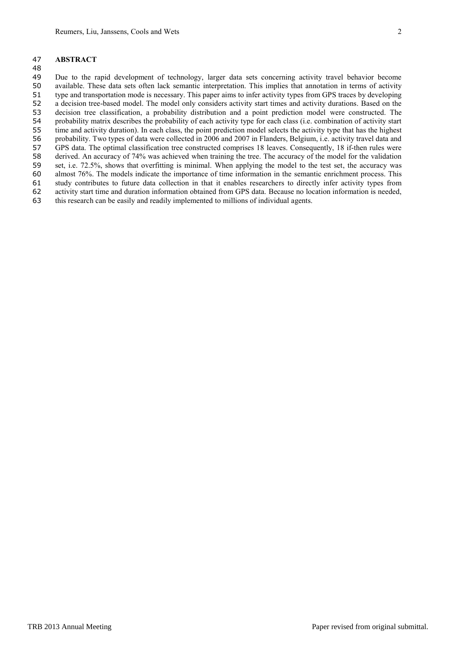## **ABSTRACT**

 Due to the rapid development of technology, larger data sets concerning activity travel behavior become available. These data sets often lack semantic interpretation. This implies that annotation in terms of activity type and transportation mode is necessary. This paper aims to infer activity types from GPS traces by developing a decision tree-based model. The model only considers activity start times and activity durations. Based on the decision tree classification, a probability distribution and a point prediction model were constructed. The 54 probability matrix describes the probability of each activity type for each class (i.e. combination of activity start time and activity duration). In each class, the point prediction model selects the activity type that time and activity duration). In each class, the point prediction model selects the activity type that has the highest probability. Two types of data were collected in 2006 and 2007 in Flanders, Belgium, i.e. activity travel data and GPS data. The optimal classification tree constructed comprises 18 leaves. Consequently, 18 if-then rules were derived. An accuracy of 74% was achieved when training the tree. The accuracy of the model for the validation set, i.e. 72.5%, shows that overfitting is minimal. When applying the model to the test set, the accuracy was almost 76%. The models indicate the importance of time information in the semantic enrichment process. This study contributes to future data collection in that it enables researchers to directly infer activity types from activity start time and duration information obtained from GPS data. Because no location information is needed, this research can be easily and readily implemented to millions of individual agents.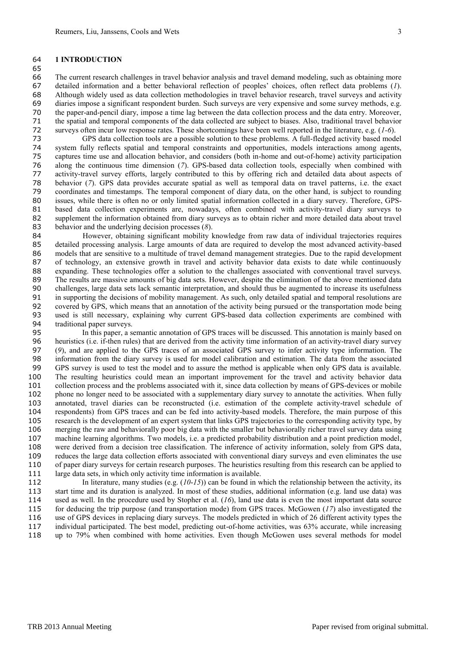#### **1 INTRODUCTION**

 The current research challenges in travel behavior analysis and travel demand modeling, such as obtaining more detailed information and a better behavioral reflection of peoples' choices, often reflect data problems (*1*). Although widely used as data collection methodologies in travel behavior research, travel surveys and activity diaries impose a significant respondent burden. Such surveys are very expensive and some survey methods, e.g. the paper-and-pencil diary, impose a time lag between the data collection process and the data entry. Moreover, 71 the spatial and temporal components of the data collected are subject to biases. Also, traditional travel behavior<br>72 surveys often incur low response rates. These shortcomings have been well reported in the literature, surveys often incur low response rates. These shortcomings have been well reported in the literature, e.g. (*1-6*).

 GPS data collection tools are a possible solution to these problems. A full-fledged activity based model system fully reflects spatial and temporal constraints and opportunities, models interactions among agents, captures time use and allocation behavior, and considers (both in-home and out-of-home) activity participation along the continuous time dimension (*7*). GPS-based data collection tools, especially when combined with activity-travel survey efforts, largely contributed to this by offering rich and detailed data about aspects of behavior (*7*). GPS data provides accurate spatial as well as temporal data on travel patterns, i.e. the exact coordinates and timestamps. The temporal component of diary data, on the other hand, is subject to rounding issues, while there is often no or only limited spatial information collected in a diary survey. Therefore, GPS- based data collection experiments are, nowadays, often combined with activity-travel diary surveys to supplement the information obtained from diary surveys as to obtain richer and more detailed data about travel behavior and the underlying decision processes (*8*).

 However, obtaining significant mobility knowledge from raw data of individual trajectories requires detailed processing analysis. Large amounts of data are required to develop the most advanced activity-based models that are sensitive to a multitude of travel demand management strategies. Due to the rapid development of technology, an extensive growth in travel and activity behavior data exists to date while continuously expanding. These technologies offer a solution to the challenges associated with conventional travel surveys. The results are massive amounts of big data sets. However, despite the elimination of the above mentioned data challenges, large data sets lack semantic interpretation, and should thus be augmented to increase its usefulness in supporting the decisions of mobility management. As such, only detailed spatial and temporal resolutions are 92 covered by GPS, which means that an annotation of the activity being pursued or the transportation mode being used is still necessary, explaining why current GPS-based data collection experiments are combined with traditional paper surveys.

 In this paper, a semantic annotation of GPS traces will be discussed. This annotation is mainly based on heuristics (i.e. if-then rules) that are derived from the activity time information of an activity-travel diary survey (*9*), and are applied to the GPS traces of an associated GPS survey to infer activity type information. The information from the diary survey is used for model calibration and estimation. The data from the associated GPS survey is used to test the model and to assure the method is applicable when only GPS data is available. The resulting heuristics could mean an important improvement for the travel and activity behavior data collection process and the problems associated with it, since data collection by means of GPS-devices or mobile phone no longer need to be associated with a supplementary diary survey to annotate the activities. When fully annotated, travel diaries can be reconstructed (i.e. estimation of the complete activity-travel schedule of respondents) from GPS traces and can be fed into activity-based models. Therefore, the main purpose of this research is the development of an expert system that links GPS trajectories to the corresponding activity type, by merging the raw and behaviorally poor big data with the smaller but behaviorally richer travel survey data using machine learning algorithms. Two models, i.e. a predicted probability distribution and a point prediction model, were derived from a decision tree classification. The inference of activity information, solely from GPS data, reduces the large data collection efforts associated with conventional diary surveys and even eliminates the use of paper diary surveys for certain research purposes. The heuristics resulting from this research can be applied to 111 large data sets, in which only activity time information is available.

 In literature, many studies (e.g. (*10*-*15*)) can be found in which the relationship between the activity, its start time and its duration is analyzed. In most of these studies, additional information (e.g. land use data) was used as well. In the procedure used by Stopher et al. (*16*), land use data is even the most important data source for deducing the trip purpose (and transportation mode) from GPS traces. McGowen (*17*) also investigated the use of GPS devices in replacing diary surveys. The models predicted in which of 26 different activity types the individual participated. The best model, predicting out-of-home activities, was 63% accurate, while increasing up to 79% when combined with home activities. Even though McGowen uses several methods for model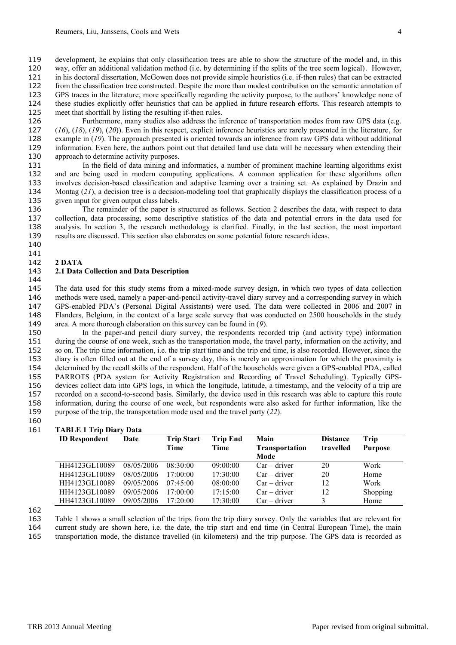development, he explains that only classification trees are able to show the structure of the model and, in this way, offer an additional validation method (i.e. by determining if the splits of the tree seem logical). However, in his doctoral dissertation, McGowen does not provide simple heuristics (i.e. if-then rules) that can be extracted

- from the classification tree constructed. Despite the more than modest contribution on the semantic annotation of
- GPS traces in the literature, more specifically regarding the activity purpose, to the authors' knowledge none of
- these studies explicitly offer heuristics that can be applied in future research efforts. This research attempts to meet that shortfall by listing the resulting if-then rules.

 Furthermore, many studies also address the inference of transportation modes from raw GPS data (e.g. (*16*), (*18*), (*19*), (*20*)). Even in this respect, explicit inference heuristics are rarely presented in the literature, for example in (*19*). The approach presented is oriented towards an inference from raw GPS data without additional information. Even here, the authors point out that detailed land use data will be necessary when extending their approach to determine activity purposes.

 In the field of data mining and informatics, a number of prominent machine learning algorithms exist and are being used in modern computing applications. A common application for these algorithms often involves decision-based classification and adaptive learning over a training set. As explained by Drazin and 134 Montag (21), a decision tree is a decision-modeling tool that graphically displays the classification process of a given input for given output class labels.

 The remainder of the paper is structured as follows. Section 2 describes the data, with respect to data collection, data processing, some descriptive statistics of the data and potential errors in the data used for analysis. In section 3, the research methodology is clarified. Finally, in the last section, the most important results are discussed. This section also elaborates on some potential future research ideas. 

### 

### **2 DATA**

## **2.1 Data Collection and Data Description**

 The data used for this study stems from a mixed-mode survey design, in which two types of data collection methods were used, namely a paper-and-pencil activity-travel diary survey and a corresponding survey in which GPS-enabled PDA's (Personal Digital Assistants) were used. The data were collected in 2006 and 2007 in Flanders, Belgium, in the context of a large scale survey that was conducted on 2500 households in the study area. A more thorough elaboration on this survey can be found in (*9*).

 In the paper-and pencil diary survey, the respondents recorded trip (and activity type) information during the course of one week, such as the transportation mode, the travel party, information on the activity, and so on. The trip time information, i.e. the trip start time and the trip end time, is also recorded. However, since the diary is often filled out at the end of a survey day, this is merely an approximation for which the proximity is determined by the recall skills of the respondent. Half of the households were given a GPS-enabled PDA, called PARROTS (**P**DA system for **A**ctivity **R**egistration and **R**ecording **o**f **T**ravel **S**cheduling). Typically GPS- devices collect data into GPS logs, in which the longitude, latitude, a timestamp, and the velocity of a trip are recorded on a second-to-second basis. Similarly, the device used in this research was able to capture this route information, during the course of one week, but respondents were also asked for further information, like the purpose of the trip, the transportation mode used and the travel party (*22*).

### **TABLE 1 Trip Diary Data**

| <b>ID Respondent</b> | Date       | <b>Trip Start</b><br>Time | <b>Trip End</b><br>Time | Main<br><b>Transportation</b><br>Mode | <b>Distance</b><br>travelled | Trip<br><b>Purpose</b> |
|----------------------|------------|---------------------------|-------------------------|---------------------------------------|------------------------------|------------------------|
| HH4123GL10089        | 08/05/2006 | 08.30.00                  | 09:00:00                | $Car - driver$                        | 20                           | Work                   |
| HH4123GL10089        | 08/05/2006 | 17.00(0)                  | 17:30:00                | $Car - driver$                        | 20                           | Home                   |
| HH4123GL10089        | 09/05/2006 | $07.45 \cdot 00$          | 08:00:00                | $Car - driver$                        | 12                           | Work                   |
| HH4123GL10089        | 09/05/2006 | $17.00 \cdot 00$          | 17:15:00                | $Car - driver$                        | 12                           | Shopping               |
| HH4123GL10089        | 09/05/2006 | $17.20 \cdot 00$          | 17:30:00                | $Car - driver$                        | 3                            | Home                   |

Table 1 shows a small selection of the trips from the trip diary survey. Only the variables that are relevant for

 current study are shown here, i.e. the date, the trip start and end time (in Central European Time), the main transportation mode, the distance travelled (in kilometers) and the trip purpose. The GPS data is recorded as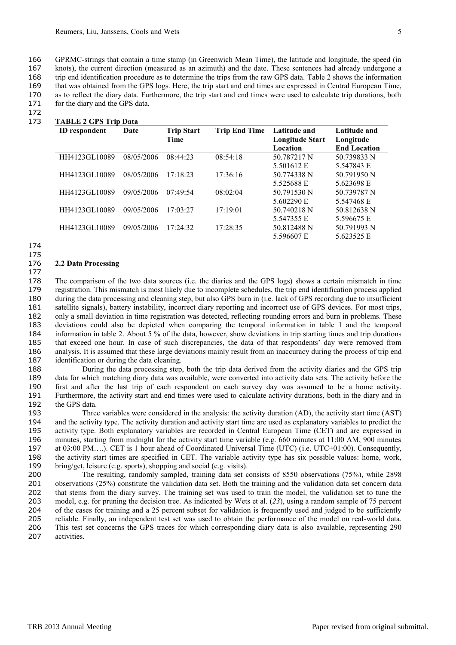GPRMC-strings that contain a time stamp (in Greenwich Mean Time), the latitude and longitude, the speed (in knots), the current direction (measured as an azimuth) and the date. These sentences had already undergone a trip end identification procedure as to determine the trips from the raw GPS data. Table 2 shows the information that was obtained from the GPS logs. Here, the trip start and end times are expressed in Central European Time, as to reflect the diary data. Furthermore, the trip start and end times were used to calculate trip durations, both 171 for the diary and the GPS data.

172

# 173 **TABLE 2 GPS Trip Data**

| <b>ID</b> respondent | Date       | <b>Trip Start</b><br>Time | <b>Trip End Time</b> | Latitude and<br><b>Longitude Start</b> | <b>Latitude and</b><br>Longitude |  |
|----------------------|------------|---------------------------|----------------------|----------------------------------------|----------------------------------|--|
|                      |            |                           |                      | Location                               | <b>End Location</b>              |  |
| HH4123GL10089        | 08/05/2006 | 08:44:23                  | 08:54:18             | 50.787217 N                            | 50.739833 N                      |  |
|                      |            |                           |                      | 5.501612 E                             | 5.547843 E                       |  |
| HH4123GL10089        | 08/05/2006 | 17:18:23                  | 17:36:16             | 50.774338 N                            | 50.791950 N                      |  |
|                      |            |                           |                      | 5.525688 E                             | 5.623698 E                       |  |
| HH4123GL10089        | 09/05/2006 | 07:49:54                  | 08:02:04             | 50.791530 N                            | 50.739787 N                      |  |
|                      |            |                           |                      | 5.602290 E                             | 5.547468 E                       |  |
| HH4123GL10089        | 09/05/2006 | 17:03:27                  | 17:19:01             | 50.740218 N                            | 50.812638 N                      |  |
|                      |            |                           |                      | 5.547355 E                             | 5.596675 E                       |  |
| HH4123GL10089        | 09/05/2006 | 17:24:32                  | 17:28:35             | 50.812488 N                            | 50.791993 N                      |  |
|                      |            |                           |                      | 5.596607 E                             | 5.623525 E                       |  |

174 175

177

### 176 **2.2 Data Processing**

 The comparison of the two data sources (i.e. the diaries and the GPS logs) shows a certain mismatch in time registration. This mismatch is most likely due to incomplete schedules, the trip end identification process applied during the data processing and cleaning step, but also GPS burn in (i.e. lack of GPS recording due to insufficient satellite signals), battery instability, incorrect diary reporting and incorrect use of GPS devices. For most trips, only a small deviation in time registration was detected, reflecting rounding errors and burn in problems. These deviations could also be depicted when comparing the temporal information in table 1 and the temporal information in table 2. About 5 % of the data, however, show deviations in trip starting times and trip durations that exceed one hour. In case of such discrepancies, the data of that respondents' day were removed from analysis. It is assumed that these large deviations mainly result from an inaccuracy during the process of trip end identification or during the data cleaning.

 During the data processing step, both the trip data derived from the activity diaries and the GPS trip data for which matching diary data was available, were converted into activity data sets. The activity before the first and after the last trip of each respondent on each survey day was assumed to be a home activity. Furthermore, the activity start and end times were used to calculate activity durations, both in the diary and in the GPS data.

 Three variables were considered in the analysis: the activity duration (AD), the activity start time (AST) and the activity type. The activity duration and activity start time are used as explanatory variables to predict the activity type. Both explanatory variables are recorded in Central European Time (CET) and are expressed in minutes, starting from midnight for the activity start time variable (e.g. 660 minutes at 11:00 AM, 900 minutes at 03:00 PM….). CET is 1 hour ahead of Coordinated Universal Time (UTC) (i.e. UTC+01:00). Consequently, the activity start times are specified in CET. The variable activity type has six possible values: home, work, bring/get, leisure (e.g. sports), shopping and social (e.g. visits).

 The resulting, randomly sampled, training data set consists of 8550 observations (75%), while 2898 observations (25%) constitute the validation data set. Both the training and the validation data set concern data that stems from the diary survey. The training set was used to train the model, the validation set to tune the model, e.g. for pruning the decision tree. As indicated by Wets et al. (*23*), using a random sample of 75 percent 204 of the cases for training and a 25 percent subset for validation is frequently used and judged to be sufficiently reliable. Finally, an independent test set was used to obtain the performance of the model on real-world data. This test set concerns the GPS traces for which corresponding diary data is also available, representing 290 activities.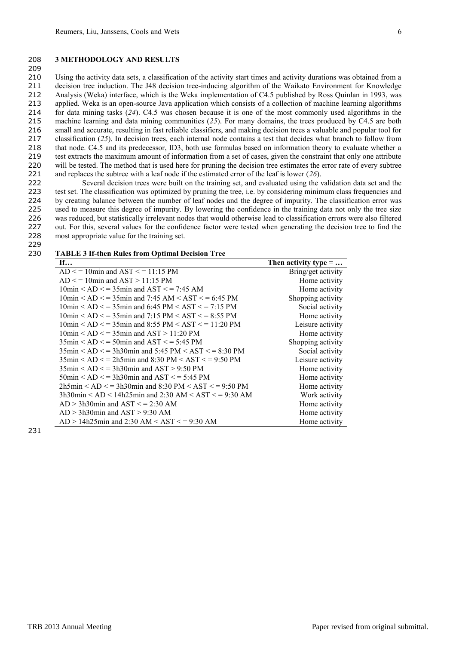#### 208 **3 METHODOLOGY AND RESULTS**

 Using the activity data sets, a classification of the activity start times and activity durations was obtained from a decision tree induction. The J48 decision tree-inducing algorithm of the Waikato Environment for Knowledge Analysis (Weka) interface, which is the Weka implementation of C4.5 published by Ross Quinlan in 1993, was applied. Weka is an open-source Java application which consists of a collection of machine learning algorithms for data mining tasks (*24*). C4.5 was chosen because it is one of the most commonly used algorithms in the machine learning and data mining communities (*25*). For many domains, the trees produced by C4.5 are both small and accurate, resulting in fast reliable classifiers, and making decision trees a valuable and popular tool for classification (*25*). In decision trees, each internal node contains a test that decides what branch to follow from that node. C4.5 and its predecessor, ID3, both use formulas based on information theory to evaluate whether a test extracts the maximum amount of information from a set of cases, given the constraint that only one attribute 220 will be tested. The method that is used here for pruning the decision tree estimates the error rate of every subtree and replaces the subtree with a leaf node if the estimated error of the leaf is lower (*26*).

 Several decision trees were built on the training set, and evaluated using the validation data set and the test set. The classification was optimized by pruning the tree, i.e. by considering minimum class frequencies and by creating balance between the number of leaf nodes and the degree of impurity. The classification error was used to measure this degree of impurity. By lowering the confidence in the training data not only the tree size was reduced, but statistically irrelevant nodes that would otherwise lead to classification errors were also filtered out. For this, several values for the confidence factor were tested when generating the decision tree to find the most appropriate value for the training set.

229

209

### 230 **TABLE 3 If-then Rules from Optimal Decision Tree**

| If                                                                                            | Then activity type = |
|-----------------------------------------------------------------------------------------------|----------------------|
| $AD \le 10$ min and $AST \le 11:15$ PM                                                        | Bring/get activity   |
| $AD \le 10$ min and $AST > 11:15$ PM                                                          | Home activity        |
| $10\text{min} < AD \le 35\text{min}$ and $AST \le 7.45$ AM                                    | Home activity        |
| $10\text{min} < AD \le 35\text{min}$ and $7:45 \text{ AM} < AST \le 6:45 \text{ PM}$          | Shopping activity    |
| $10\text{min} < AD \le 35\text{min}$ and 6:45 PM $<$ AST $\le 7:15$ PM                        | Social activity      |
| $10\text{min} < AD < = 35\text{min}$ and $7:15 \text{ PM} < AST < = 8:55 \text{ PM}$          | Home activity        |
| $10\text{min} < AD <$ = 35min and 8:55 PM < AST < = 11:20 PM                                  | Leisure activity     |
| $10\text{min} < AD \le 35\text{min}$ and $AST > 11:20\text{PM}$                               | Home activity        |
| $35\text{min} < AD \le 50\text{min}$ and $AST \le 5:45\text{ PM}$                             | Shopping activity    |
| $35\text{min} < AD < = 3\text{h}30\text{min}$ and $5:45 \text{ PM} < AST < = 8:30 \text{ PM}$ | Social activity      |
| $35\text{min} < AD < = 2\text{h}5\text{min}$ and $8:30\text{ PM} < AST < = 9:50\text{ PM}$    | Leisure activity     |
| $35\text{min} < AD \le 3h30\text{min}$ and $AST > 9:50\text{PM}$                              | Home activity        |
| $50\text{min}$ < AD < = 3h30min and AST < = 5:45 PM                                           | Home activity        |
| $2h5min < AD < = 3h30min$ and $8:30 PM < AST < = 9:50 PM$                                     | Home activity        |
| $3h30$ min < AD < 14h25min and 2:30 AM < AST < = 9:30 AM                                      | Work activity        |
| $AD > 3h30$ min and $AST \le 2:30$ AM                                                         | Home activity        |
| $AD > 3h30$ min and $AST > 9:30$ AM                                                           | Home activity        |
| $AD > 14h25$ min and 2:30 AM < AST < = 9:30 AM                                                | Home activity        |

231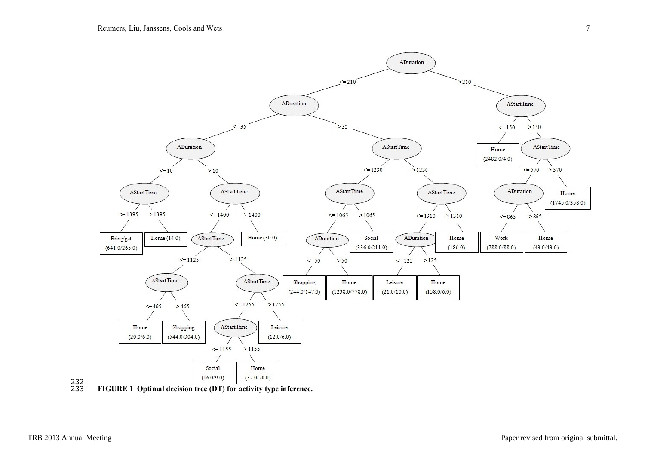

232<br>233 233 **FIGURE 1 Optimal decision tree (DT) for activity type inference.**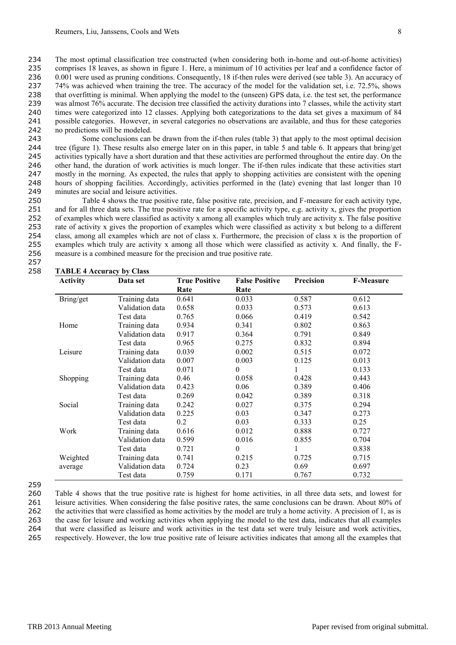The most optimal classification tree constructed (when considering both in-home and out-of-home activities) comprises 18 leaves, as shown in figure 1. Here, a minimum of 10 activities per leaf and a confidence factor of 236 0.001 were used as pruning conditions. Consequently, 18 if-then rules were derived (see table 3). An accuracy of 74% was achieved when training the tree. The accuracy of the model for the validation set, i.e. 72.5%, shows that overfitting is minimal. When applying the model to the (unseen) GPS data, i.e. the test set, the performance 239 was almost 76% accurate. The decision tree classified the activity durations into 7 classes, while the activity start times were categorized into 12 classes. Applying both categorizations to the data set gives a maximum of 84 possible categories. However, in several categories no observations are available, and thus for these categories no predictions will be modeled.

 Some conclusions can be drawn from the if-then rules (table 3) that apply to the most optimal decision tree (figure 1). These results also emerge later on in this paper, in table 5 and table 6. It appears that bring/get activities typically have a short duration and that these activities are performed throughout the entire day. On the other hand, the duration of work activities is much longer. The if-then rules indicate that these activities start mostly in the morning. As expected, the rules that apply to shopping activities are consistent with the opening hours of shopping facilities. Accordingly, activities performed in the (late) evening that last longer than 10 minutes are social and leisure activities.

 Table 4 shows the true positive rate, false positive rate, precision, and F-measure for each activity type, and for all three data sets. The true positive rate for a specific activity type, e.g. activity x, gives the proportion of examples which were classified as activity x among all examples which truly are activity x. The false positive rate of activity x gives the proportion of examples which were classified as activity x but belong to a different class, among all examples which are not of class x. Furthermore, the precision of class x is the proportion of examples which truly are activity x among all those which were classified as activity x. And finally, the F-measure is a combined measure for the precision and true positive rate.

257

| <b>Activity</b> | Data set        | <b>True Positive</b> | <b>False Positive</b> | Precision | <b>F-Measure</b> |
|-----------------|-----------------|----------------------|-----------------------|-----------|------------------|
|                 |                 | Rate                 | Rate                  |           |                  |
| Bring/get       | Training data   | 0.641                | 0.033                 | 0.587     | 0.612            |
|                 | Validation data | 0.658                | 0.033                 | 0.573     | 0.613            |
|                 | Test data       | 0.765                | 0.066                 | 0.419     | 0.542            |
| Home            | Training data   | 0.934                | 0.341                 | 0.802     | 0.863            |
|                 | Validation data | 0.917                | 0.364                 | 0.791     | 0.849            |
|                 | Test data       | 0.965                | 0.275                 | 0.832     | 0.894            |
| Leisure         | Training data   | 0.039                | 0.002                 | 0.515     | 0.072            |
|                 | Validation data | 0.007                | 0.003                 | 0.125     | 0.013            |
|                 | Test data       | 0.071                | $\theta$              | 1         | 0.133            |
| Shopping        | Training data   | 0.46                 | 0.058                 | 0.428     | 0.443            |
|                 | Validation data | 0.423                | 0.06                  | 0.389     | 0.406            |
|                 | Test data       | 0.269                | 0.042                 | 0.389     | 0.318            |
| Social          | Training data   | 0.242                | 0.027                 | 0.375     | 0.294            |
|                 | Validation data | 0.225                | 0.03                  | 0.347     | 0.273            |
|                 | Test data       | 0.2                  | 0.03                  | 0.333     | 0.25             |
| Work            | Training data   | 0.616                | 0.012                 | 0.888     | 0.727            |
|                 | Validation data | 0.599                | 0.016                 | 0.855     | 0.704            |
|                 | Test data       | 0.721                | $\boldsymbol{0}$      | 1         | 0.838            |
| Weighted        | Training data   | 0.741                | 0.215                 | 0.725     | 0.715            |
| average         | Validation data | 0.724                | 0.23                  | 0.69      | 0.697            |
|                 | Test data       | 0.759                | 0.171                 | 0.767     | 0.732            |

### 258 **TABLE 4 Accuracy by Class**

259

 Table 4 shows that the true positive rate is highest for home activities, in all three data sets, and lowest for leisure activities. When considering the false positive rates, the same conclusions can be drawn. About 80% of the activities that were classified as home activities by the model are truly a home activity. A precision of 1, as is the case for leisure and working activities when applying the model to the test data, indicates that all examples that were classified as leisure and work activities in the test data set were truly leisure and work activities, respectively. However, the low true positive rate of leisure activities indicates that among all the examples that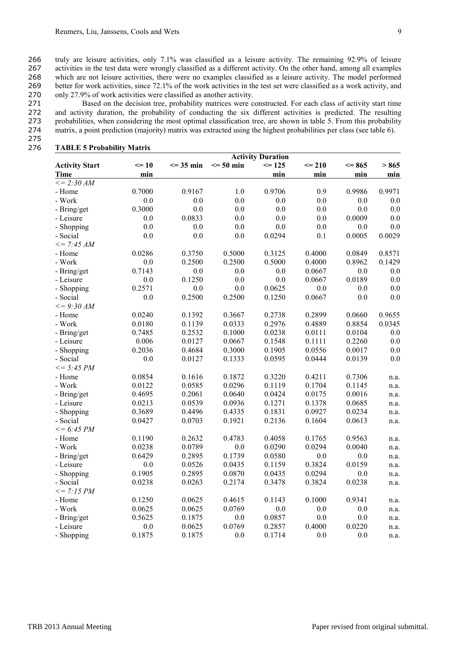truly are leisure activities, only 7.1% was classified as a leisure activity. The remaining 92.9% of leisure activities in the test data were wrongly classified as a different activity. On the other hand, among all examples which are not leisure activities, there were no examples classified as a leisure activity. The model performed better for work activities, since 72.1% of the work activities in the test set were classified as a work activity, and only 27.9% of work activities were classified as another activity.

 Based on the decision tree, probability matrices were constructed. For each class of activity start time and activity duration, the probability of conducting the six different activities is predicted. The resulting probabilities, when considering the most optimal classification tree, are shown in table 5. From this probability matrix, a point prediction (majority) matrix was extracted using the highest probabilities per class (see table 6).

### 275

### 276 **TABLE 5 Probability Matrix**

|                       | <b>Activity Duration</b> |               |               |            |            |            |         |
|-----------------------|--------------------------|---------------|---------------|------------|------------|------------|---------|
| <b>Activity Start</b> | $\leq$ 10                | $\leq$ 35 min | $\leq$ 50 min | $\leq$ 125 | $\leq$ 210 | $\leq$ 865 | > 865   |
| <b>Time</b>           | min                      |               |               | min        | min        | min        | min     |
| $\leq$ = 2:30 AM      |                          |               |               |            |            |            |         |
| - Home                | 0.7000                   | 0.9167        | 1.0           | 0.9706     | 0.9        | 0.9986     | 0.9971  |
| - Work                | 0.0                      | 0.0           | 0.0           | 0.0        | 0.0        | 0.0        | $0.0\,$ |
| - Bring/get           | 0.3000                   | 0.0           | 0.0           | 0.0        | 0.0        | 0.0        | 0.0     |
| - Leisure             | 0.0                      | 0.0833        | 0.0           | 0.0        | 0.0        | 0.0009     | 0.0     |
| - Shopping            | 0.0                      | 0.0           | 0.0           | 0.0        | $0.0\,$    | 0.0        | 0.0     |
| - Social              | 0.0                      | 0.0           | 0.0           | 0.0294     | 0.1        | 0.0005     | 0.0029  |
| $\leq$ = 7:45 AM      |                          |               |               |            |            |            |         |
| - Home                | 0.0286                   | 0.3750        | 0.5000        | 0.3125     | 0.4000     | 0.0849     | 0.8571  |
| - Work                | 0.0                      | 0.2500        | 0.2500        | 0.5000     | 0.4000     | 0.8962     | 0.1429  |
| - Bring/get           | 0.7143                   | 0.0           | 0.0           | 0.0        | 0.0667     | 0.0        | 0.0     |
| - Leisure             | 0.0                      | 0.1250        | 0.0           | 0.0        | 0.0667     | 0.0189     | 0.0     |
| - Shopping            | 0.2571                   | 0.0           | 0.0           | 0.0625     | 0.0        | 0.0        | 0.0     |
| - Social              | 0.0                      | 0.2500        | 0.2500        | 0.1250     | 0.0667     | 0.0        | 0.0     |
| $\leq$ = 9:30 AM      |                          |               |               |            |            |            |         |
| - Home                | 0.0240                   | 0.1392        | 0.3667        | 0.2738     | 0.2899     | 0.0660     | 0.9655  |
| - Work                | 0.0180                   | 0.1139        | 0.0333        | 0.2976     | 0.4889     | 0.8854     | 0.0345  |
| - Bring/get           | 0.7485                   | 0.2532        | 0.1000        | 0.0238     | 0.0111     | 0.0104     | 0.0     |
| - Leisure             | 0.006                    | 0.0127        | 0.0667        | 0.1548     | 0.1111     | 0.2260     | 0.0     |
| - Shopping            | 0.2036                   | 0.4684        | 0.3000        | 0.1905     | 0.0556     | 0.0017     | 0.0     |
| - Social              | 0.0                      | 0.0127        | 0.1333        | 0.0595     | 0.0444     | 0.0139     | 0.0     |
| $\leq$ = 5:45 PM      |                          |               |               |            |            |            |         |
| - Home                | 0.0854                   | 0.1616        | 0.1872        | 0.3220     | 0.4211     | 0.7306     | n.a.    |
| - Work                | 0.0122                   | 0.0585        | 0.0296        | 0.1119     | 0.1704     | 0.1145     | n.a.    |
| - Bring/get           | 0.4695                   | 0.2061        | 0.0640        | 0.0424     | 0.0175     | 0.0016     | n.a.    |
| - Leisure             | 0.0213                   | 0.0539        | 0.0936        | 0.1271     | 0.1378     | 0.0685     | n.a.    |
| - Shopping            | 0.3689                   | 0.4496        | 0.4335        | 0.1831     | 0.0927     | 0.0234     | n.a.    |
| - Social              | 0.0427                   | 0.0703        | 0.1921        | 0.2136     | 0.1604     | 0.0613     | n.a.    |
| $\leq$ = 6:45 PM      |                          |               |               |            |            |            |         |
| - Home                | 0.1190                   | 0.2632        | 0.4783        | 0.4058     | 0.1765     | 0.9563     | n.a.    |
| - Work                | 0.0238                   | 0.0789        | 0.0           | 0.0290     | 0.0294     | 0.0040     | n.a.    |
| - Bring/get           | 0.6429                   | 0.2895        | 0.1739        | 0.0580     | 0.0        | 0.0        | n.a.    |
| - Leisure             | 0.0                      | 0.0526        | 0.0435        | 0.1159     | 0.3824     | 0.0159     | n.a.    |
| - Shopping            | 0.1905                   | 0.2895        | 0.0870        | 0.0435     | 0.0294     | 0.0        | n.a.    |
| - Social              | 0.0238                   | 0.0263        | 0.2174        | 0.3478     | 0.3824     | 0.0238     | n.a.    |
| $\leq$ = 7:15 PM      |                          |               |               |            |            |            |         |
| - Home                | 0.1250                   | 0.0625        | 0.4615        | 0.1143     | 0.1000     | 0.9341     | n.a.    |
| - Work                | 0.0625                   | 0.0625        | 0.0769        | 0.0        | 0.0        | 0.0        | n.a.    |
| - Bring/get           | 0.5625                   | 0.1875        | 0.0           | 0.0857     | 0.0        | 0.0        | n.a.    |
| - Leisure             | 0.0                      | 0.0625        | 0.0769        | 0.2857     | 0.4000     | 0.0220     | n.a.    |
| - Shopping            | 0.1875                   | 0.1875        | 0.0           | 0.1714     | 0.0        | 0.0        | n.a.    |
|                       |                          |               |               |            |            |            |         |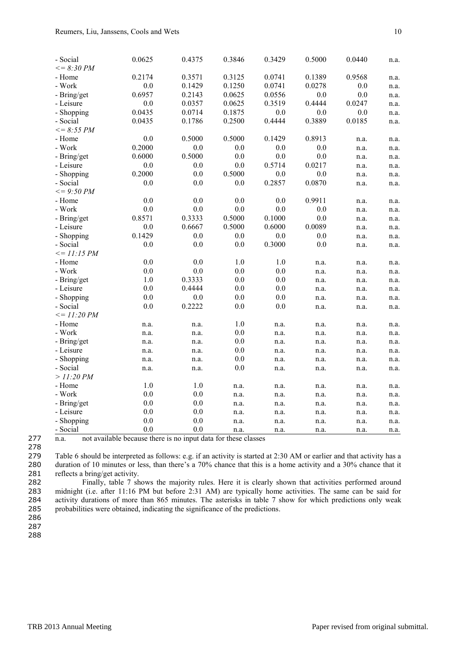| - Social          | 0.0625 | 0.4375  | 0.3846 | 0.3429 | 0.5000 | 0.0440  | n.a. |
|-------------------|--------|---------|--------|--------|--------|---------|------|
| $\leq$ = 8:30 PM  |        |         |        |        |        |         |      |
| - Home            | 0.2174 | 0.3571  | 0.3125 | 0.0741 | 0.1389 | 0.9568  | n.a. |
| - Work            | 0.0    | 0.1429  | 0.1250 | 0.0741 | 0.0278 | 0.0     | n.a. |
| - Bring/get       | 0.6957 | 0.2143  | 0.0625 | 0.0556 | 0.0    | $0.0\,$ | n.a. |
| - Leisure         | 0.0    | 0.0357  | 0.0625 | 0.3519 | 0.4444 | 0.0247  | n.a. |
| - Shopping        | 0.0435 | 0.0714  | 0.1875 | 0.0    | 0.0    | $0.0\,$ | n.a. |
| - Social          | 0.0435 | 0.1786  | 0.2500 | 0.4444 | 0.3889 | 0.0185  | n.a. |
| $\leq$ = 8:55 PM  |        |         |        |        |        |         |      |
| - Home            | 0.0    | 0.5000  | 0.5000 | 0.1429 | 0.8913 | n.a.    | n.a. |
| - Work            | 0.2000 | 0.0     | 0.0    | 0.0    | 0.0    | n.a.    | n.a. |
| - Bring/get       | 0.6000 | 0.5000  | 0.0    | 0.0    | 0.0    | n.a.    | n.a. |
| - Leisure         | 0.0    | $0.0\,$ | 0.0    | 0.5714 | 0.0217 | n.a.    | n.a. |
| - Shopping        | 0.2000 | $0.0\,$ | 0.5000 | 0.0    | 0.0    | n.a.    | n.a. |
| - Social          | 0.0    | 0.0     | 0.0    | 0.2857 | 0.0870 | n.a.    | n.a. |
| $\leq$ = 9:50 PM  |        |         |        |        |        |         |      |
| - Home            | 0.0    | 0.0     | 0.0    | 0.0    | 0.9911 | n.a.    | n.a. |
| - Work            | 0.0    | $0.0\,$ | 0.0    | 0.0    | 0.0    | n.a.    | n.a. |
| - Bring/get       | 0.8571 | 0.3333  | 0.5000 | 0.1000 | 0.0    | n.a.    | n.a. |
| - Leisure         | 0.0    | 0.6667  | 0.5000 | 0.6000 | 0.0089 | n.a.    | n.a. |
| - Shopping        | 0.1429 | 0.0     | 0.0    | 0.0    | 0.0    | n.a.    | n.a. |
| - Social          | 0.0    | $0.0\,$ | 0.0    | 0.3000 | 0.0    | n.a.    | n.a. |
| $\leq$ = 11:15 PM |        |         |        |        |        |         |      |
| - Home            | 0.0    | 0.0     | 1.0    | 1.0    | n.a.   | n.a.    | n.a. |
| - Work            | 0.0    | 0.0     | 0.0    | 0.0    | n.a.   | n.a.    | n.a. |
| - Bring/get       | 1.0    | 0.3333  | 0.0    | 0.0    | n.a.   | n.a.    | n.a. |
| - Leisure         | 0.0    | 0.4444  | 0.0    | 0.0    | n.a.   | n.a.    | n.a. |
| - Shopping        | 0.0    | 0.0     | 0.0    | 0.0    | n.a.   | n.a.    | n.a. |
| - Social          | 0.0    | 0.2222  | 0.0    | 0.0    | n.a.   | n.a.    | n.a. |
| $\leq$ = 11:20 PM |        |         |        |        |        |         |      |
| - Home            | n.a.   | n.a.    | 1.0    | n.a.   | n.a.   | n.a.    | n.a. |
| - Work            | n.a.   | n.a.    | 0.0    | n.a.   | n.a.   | n.a.    | n.a. |
| - Bring/get       | n.a.   | n.a.    | 0.0    | n.a.   | n.a.   | n.a.    | n.a. |
| - Leisure         | n.a.   | n.a.    | 0.0    | n.a.   | n.a.   | n.a.    | n.a. |
| - Shopping        | n.a.   | n.a.    | 0.0    | n.a.   | n.a.   | n.a.    | n.a. |
| - Social          | n.a.   | n.a.    | 0.0    | n.a.   | n.a.   | n.a.    | n.a. |
| > 11:20 PM        |        |         |        |        |        |         |      |
| - Home            | 1.0    | 1.0     | n.a.   | n.a.   | n.a.   | n.a.    | n.a. |
| - Work            | 0.0    | 0.0     | n.a.   | n.a.   | n.a.   | n.a.    | n.a. |
| - Bring/get       | 0.0    | 0.0     | n.a.   | n.a.   | n.a.   | n.a.    | n.a. |
| - Leisure         | 0.0    | 0.0     | n.a.   | n.a.   | n.a.   | n.a.    | n.a. |
| - Shopping        | 0.0    | 0.0     | n.a.   | n.a.   | n.a.   | n.a.    | n.a. |
| - Social          | 0.0    | 0.0     | n.a.   | n.a.   | n.a.   | n.a.    | n.a. |

277 n.a. not available because there is no input data for these classes

279 Table 6 should be interpreted as follows: e.g. if an activity is started at 2:30 AM or earlier and that activity has a 280 duration of 10 minutes or less, than there's a 70% chance that this is a home activity and a 30% chance that it 281 reflects a bring/get activity.

 Finally, table 7 shows the majority rules. Here it is clearly shown that activities performed around midnight (i.e. after 11:16 PM but before 2:31 AM) are typically home activities. The same can be said for activity durations of more than 865 minutes. The asterisks in table 7 show for which predictions only weak probabilities were obtained, indicating the significance of the predictions.

286

287

288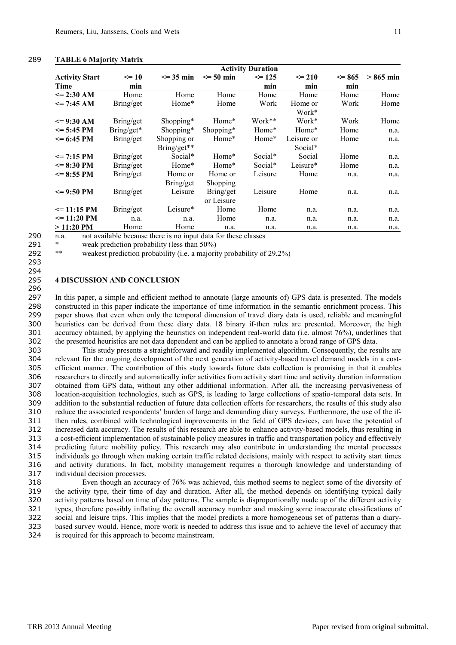### 289 **TABLE 6 Majority Matrix**

|                       |            |               |               | <b>Activity Duration</b> |            |            |            |
|-----------------------|------------|---------------|---------------|--------------------------|------------|------------|------------|
| <b>Activity Start</b> | $\leq 10$  | $\leq$ 35 min | $\leq$ 50 min | $\leq$ 125               | $\leq$ 210 | $\leq$ 865 | $>865$ min |
| Time                  | min        |               |               | min                      | min        | min        |            |
| $\leq$ 2:30 AM        | Home       | Home          | Home          | Home                     | Home       | Home       | Home       |
| $\le$ 7:45 AM         | Bring/get  | Home*         | Home          | Work                     | Home or    | Work       | Home       |
|                       |            |               |               |                          | Work*      |            |            |
| $\leq$ 9:30 AM        | Bring/get  | Shopping*     | Home*         | Work**                   | Work*      | Work       | Home       |
| $\le$ 5:45 PM         | Bring/get* | Shopping*     | Shopping*     | Home*                    | Home*      | Home       | n.a.       |
| $\leq$ 6:45 PM        | Bring/get  | Shopping or   | Home*         | Home*                    | Leisure or | Home       | n.a.       |
|                       |            | Bring/get**   |               |                          | Social*    |            |            |
| $\le$ 7:15 PM         | Bring/get  | Social*       | Home*         | Social*                  | Social     | Home       | n.a.       |
| $\leq$ 8:30 PM        | Bring/get  | Home*         | Home*         | Social*                  | Leisure*   | Home       | n.a.       |
| $\leq$ 8:55 PM        | Bring/get  | Home or       | Home or       | Leisure                  | Home       | n.a.       | n.a.       |
|                       |            | Bring/get     | Shopping      |                          |            |            |            |
| $\leq$ 9:50 PM        | Bring/get  | Leisure       | Bring/get     | Leisure                  | Home       | n.a.       | n.a.       |
|                       |            |               | or Leisure    |                          |            |            |            |
| $\leq$ 11:15 PM       | Bring/get  | Leisure*      | Home          | Home                     | n.a.       | n.a.       | n.a.       |
| $\leq$ 11:20 PM       | n.a.       | n.a.          | Home          | n.a.                     | n.a.       | n.a.       | n.a.       |
| $>11:20$ PM           | Home       | Home          | n.a.          | n.a.                     | n.a.       | n.a.       | n.a.       |

290 n.a. not available because there is no input data for these classes

291 \* weak prediction probability (less than 50%)

292 \*\* weakest prediction probability (i.e. a majority probability of 29,2%)

# 293

# 294

#### 295 **4 DISCUSSION AND CONCLUSION** 296

 In this paper, a simple and efficient method to annotate (large amounts of) GPS data is presented. The models constructed in this paper indicate the importance of time information in the semantic enrichment process. This paper shows that even when only the temporal dimension of travel diary data is used, reliable and meaningful heuristics can be derived from these diary data. 18 binary if-then rules are presented. Moreover, the high accuracy obtained, by applying the heuristics on independent real-world data (i.e. almost 76%), underlines that the presented heuristics are not data dependent and can be applied to annotate a broad range of GPS data.

 This study presents a straightforward and readily implemented algorithm. Consequently, the results are 304 relevant for the ongoing development of the next generation of activity-based travel demand models in a cost-<br>305 efficient manner. The contribution of this study towards future data collection is promising in that it efficient manner. The contribution of this study towards future data collection is promising in that it enables researchers to directly and automatically infer activities from activity start time and activity duration information obtained from GPS data, without any other additional information. After all, the increasing pervasiveness of location-acquisition technologies, such as GPS, is leading to large collections of spatio-temporal data sets. In addition to the substantial reduction of future data collection efforts for researchers, the results of this study also reduce the associated respondents' burden of large and demanding diary surveys. Furthermore, the use of the if- then rules, combined with technological improvements in the field of GPS devices, can have the potential of increased data accuracy. The results of this research are able to enhance activity-based models, thus resulting in a cost-efficient implementation of sustainable policy measures in traffic and transportation policy and effectively predicting future mobility policy. This research may also contribute in understanding the mental processes individuals go through when making certain traffic related decisions, mainly with respect to activity start times and activity durations. In fact, mobility management requires a thorough knowledge and understanding of individual decision processes.

 Even though an accuracy of 76% was achieved, this method seems to neglect some of the diversity of the activity type, their time of day and duration. After all, the method depends on identifying typical daily activity patterns based on time of day patterns. The sample is disproportionally made up of the different activity types, therefore possibly inflating the overall accuracy number and masking some inaccurate classifications of social and leisure trips. This implies that the model predicts a more homogeneous set of patterns than a diary- based survey would. Hence, more work is needed to address this issue and to achieve the level of accuracy that is required for this approach to become mainstream.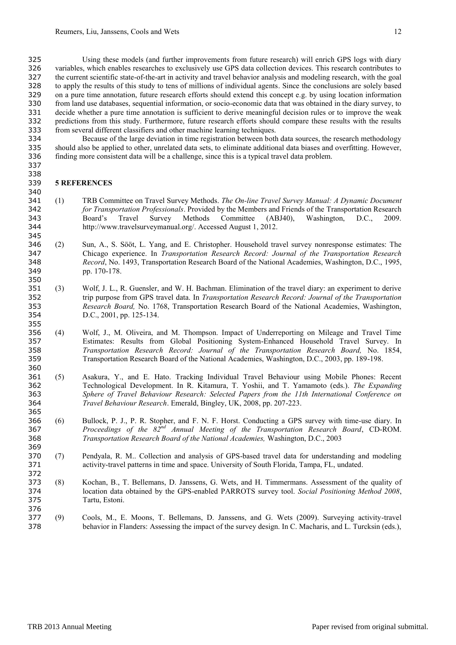Using these models (and further improvements from future research) will enrich GPS logs with diary variables, which enables researches to exclusively use GPS data collection devices. This research contributes to the current scientific state-of-the-art in activity and travel behavior analysis and modeling research, with the goal to apply the results of this study to tens of millions of individual agents. Since the conclusions are solely based on a pure time annotation, future research efforts should extend this concept e.g. by using location information from land use databases, sequential information, or socio-economic data that was obtained in the diary survey, to decide whether a pure time annotation is sufficient to derive meaningful decision rules or to improve the weak predictions from this study. Furthermore, future research efforts should compare these results with the results from several different classifiers and other machine learning techniques.

 Because of the large deviation in time registration between both data sources, the research methodology should also be applied to other, unrelated data sets, to eliminate additional data biases and overfitting. However, finding more consistent data will be a challenge, since this is a typical travel data problem.

# **5 REFERENCES**

 

- (1) TRB Committee on Travel Survey Methods. *The On-line Travel Survey Manual: A Dynamic Document for Transportation Professionals*. Provided by the Members and Friends of the Transportation Research Board's Travel Survey Methods Committee (ABJ40), Washington, D.C., 2009. http://www.travelsurveymanual.org/. Accessed August 1, 2012.
- (2) Sun, A., S. Sööt, L. Yang, and E. Christopher. Household travel survey nonresponse estimates: The Chicago experience. In *Transportation Research Record: Journal of the Transportation Research Record*, No. 1493, Transportation Research Board of the National Academies, Washington, D.C., 1995, pp. 170-178.
- (3) Wolf, J. L., R. Guensler, and W. H. Bachman. Elimination of the travel diary: an experiment to derive trip purpose from GPS travel data. In *Transportation Research Record: Journal of the Transportation Research Board,* No. 1768, Transportation Research Board of the National Academies, Washington, D.C., 2001, pp. 125-134.
- (4) Wolf, J., M. Oliveira, and M. Thompson. Impact of Underreporting on Mileage and Travel Time Estimates: Results from Global Positioning System-Enhanced Household Travel Survey. In *Transportation Research Record: Journal of the Transportation Research Board,* No. 1854, Transportation Research Board of the National Academies, Washington, D.C., 2003, pp. 189-198.
- (5) Asakura, Y., and E. Hato. Tracking Individual Travel Behaviour using Mobile Phones: Recent Technological Development. In R. Kitamura, T. Yoshii, and T. Yamamoto (eds.). *The Expanding Sphere of Travel Behaviour Research: Selected Papers from the 11th International Conference on Travel Behaviour Research*. Emerald, Bingley, UK, 2008, pp. 207-223.
- (6) Bullock, P. J., P. R. Stopher, and F. N. F. Horst. Conducting a GPS survey with time-use diary. In 367 *Proceedings of the 82<sup>nd</sup> Annual Meeting of the Transportation Research Board, CD-ROM. Transportation Research Board of the National Academies,* Washington, D.C., 2003
- (7) Pendyala, R. M.. Collection and analysis of GPS-based travel data for understanding and modeling activity-travel patterns in time and space. University of South Florida, Tampa, FL, undated.
- (8) Kochan, B., T. Bellemans, D. Janssens, G. Wets, and H. Timmermans. Assessment of the quality of location data obtained by the GPS-enabled PARROTS survey tool. *Social Positioning Method 2008*, Tartu, Estoni.
- (9) Cools, M., E. Moons, T. Bellemans, D. Janssens, and G. Wets (2009). Surveying activity-travel behavior in Flanders: Assessing the impact of the survey design. In C. Macharis, and L. Turcksin (eds.),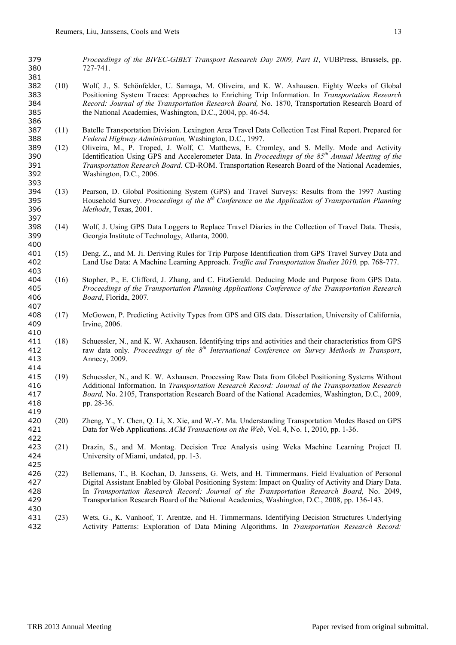*Proceedings of the BIVEC-GIBET Transport Research Day 2009, Part II*, VUBPress, Brussels, pp. 727-741.

- (10) Wolf, J., S. Schönfelder, U. Samaga, M. Oliveira, and K. W. Axhausen. Eighty Weeks of Global Positioning System Traces: Approaches to Enriching Trip Information. In *Transportation Research Record: Journal of the Transportation Research Board,* No. 1870, Transportation Research Board of the National Academies, Washington, D.C., 2004, pp. 46-54.
- (11) Batelle Transportation Division. Lexington Area Travel Data Collection Test Final Report. Prepared for *Federal Highway Administration,* Washington, D.C., 1997.
- (12) Oliveira, M., P. Troped, J. Wolf, C. Matthews, E. Cromley, and S. Melly. Mode and Activity 390 Identification Using GPS and Accelerometer Data. In *Proceedings of the 85<sup>th</sup> Annual Meeting of the Transportation Research Board.* CD-ROM. Transportation Research Board of the National Academies, Washington, D.C., 2006.
- (13) Pearson, D. Global Positioning System (GPS) and Travel Surveys: Results from the 1997 Austing Household Survey. *Proceedings of the 8 th Conference on the Application of Transportation Planning Methods*, Texas, 2001.
- (14) Wolf, J. Using GPS Data Loggers to Replace Travel Diaries in the Collection of Travel Data. Thesis, Georgia Institute of Technology, Atlanta, 2000.
- (15) Deng, Z., and M. Ji. Deriving Rules for Trip Purpose Identification from GPS Travel Survey Data and Land Use Data: A Machine Learning Approach. *Traffic and Transportation Studies 2010,* pp. 768-777.
- (16) Stopher, P., E. Clifford, J. Zhang, and C. FitzGerald. Deducing Mode and Purpose from GPS Data. *Proceedings of the Transportation Planning Applications Conference of the Transportation Research Board*, Florida, 2007.
- (17) McGowen, P. Predicting Activity Types from GPS and GIS data. Dissertation, University of California, Irvine, 2006.
- (18) Schuessler, N., and K. W. Axhausen. Identifying trips and activities and their characteristics from GPS raw data only*. Proceedings of the 8 th International Conference on Survey Methods in Transport*, Annecy, 2009.
- (19) Schuessler, N., and K. W. Axhausen. Processing Raw Data from Globel Positioning Systems Without Additional Information. In *Transportation Research Record: Journal of the Transportation Research Board,* No. 2105, Transportation Research Board of the National Academies, Washington, D.C., 2009, pp. 28-36.
- (20) Zheng, Y., Y. Chen, Q. Li, X. Xie, and W.-Y. Ma. Understanding Transportation Modes Based on GPS Data for Web Applications. *ACM Transactions on the Web*, Vol. 4, No. 1, 2010, pp. 1-36.
- (21) Drazin, S., and M. Montag. Decision Tree Analysis using Weka Machine Learning Project II. University of Miami, undated, pp. 1-3.
- (22) Bellemans, T., B. Kochan, D. Janssens, G. Wets, and H. Timmermans. Field Evaluation of Personal Digital Assistant Enabled by Global Positioning System: Impact on Quality of Activity and Diary Data. In *Transportation Research Record: Journal of the Transportation Research Board,* No. 2049, Transportation Research Board of the National Academies, Washington, D.C., 2008, pp. 136-143.
- (23) Wets, G., K. Vanhoof, T. Arentze, and H. Timmermans. Identifying Decision Structures Underlying Activity Patterns: Exploration of Data Mining Algorithms. In *Transportation Research Record:*